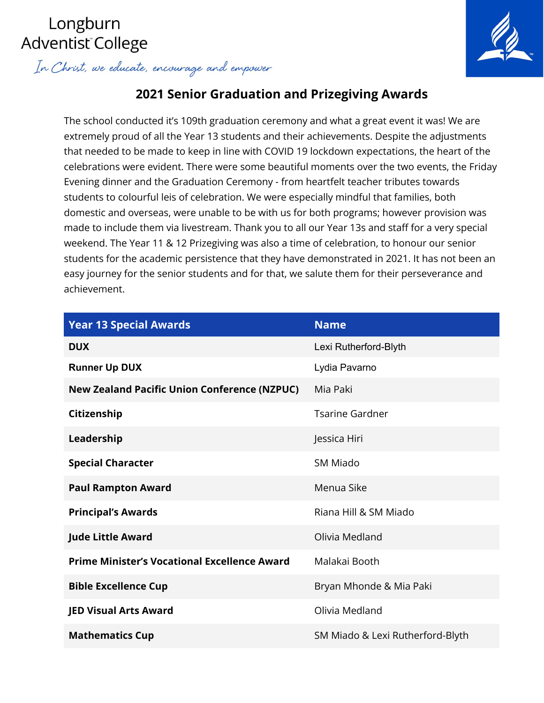# Longburn Adventist College

In Christ, we educate, encourage and empower



# **2021 Senior Graduation and Prizegiving Awards**

The school conducted it's 109th graduation ceremony and what a great event it was! We are extremely proud of all the Year 13 students and their achievements. Despite the adjustments that needed to be made to keep in line with COVID 19 lockdown expectations, the heart of the celebrations were evident. There were some beautiful moments over the two events, the Friday Evening dinner and the Graduation Ceremony - from heartfelt teacher tributes towards students to colourful leis of celebration. We were especially mindful that families, both domestic and overseas, were unable to be with us for both programs; however provision was made to include them via livestream. Thank you to all our Year 13s and staff for a very special weekend. The Year 11 & 12 Prizegiving was also a time of celebration, to honour our senior students for the academic persistence that they have demonstrated in 2021. It has not been an easy journey for the senior students and for that, we salute them for their perseverance and achievement.

| <b>Year 13 Special Awards</b>                       | <b>Name</b>                      |
|-----------------------------------------------------|----------------------------------|
| <b>DUX</b>                                          | Lexi Rutherford-Blyth            |
| <b>Runner Up DUX</b>                                | Lydia Pavarno                    |
| <b>New Zealand Pacific Union Conference (NZPUC)</b> | Mia Paki                         |
| Citizenship                                         | <b>Tsarine Gardner</b>           |
| Leadership                                          | Jessica Hiri                     |
| <b>Special Character</b>                            | SM Miado                         |
| <b>Paul Rampton Award</b>                           | Menua Sike                       |
| <b>Principal's Awards</b>                           | Riana Hill & SM Miado            |
| <b>Jude Little Award</b>                            | Olivia Medland                   |
| <b>Prime Minister's Vocational Excellence Award</b> | Malakai Booth                    |
| <b>Bible Excellence Cup</b>                         | Bryan Mhonde & Mia Paki          |
| <b>JED Visual Arts Award</b>                        | Olivia Medland                   |
| <b>Mathematics Cup</b>                              | SM Miado & Lexi Rutherford-Blyth |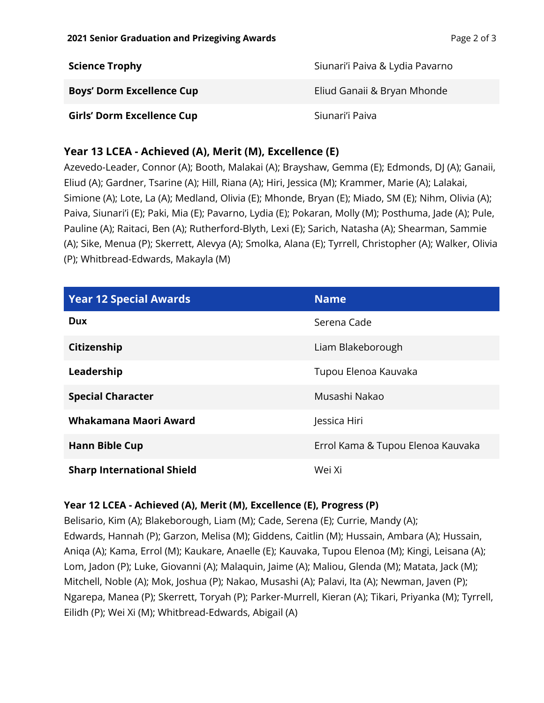| <b>Science Trophy</b>             | Siunari'i Paiva & Lydia Pavarno |
|-----------------------------------|---------------------------------|
| <b>Boys' Dorm Excellence Cup</b>  | Eliud Ganaii & Bryan Mhonde     |
| <b>Girls' Dorm Excellence Cup</b> | Siunari'i Paiva                 |

## **Year 13 LCEA - Achieved (A), Merit (M), Excellence (E)**

Azevedo-Leader, Connor (A); Booth, Malakai (A); Brayshaw, Gemma (E); Edmonds, DJ (A); Ganaii, Eliud (A); Gardner, Tsarine (A); Hill, Riana (A); Hiri, Jessica (M); Krammer, Marie (A); Lalakai, Simione (A); Lote, La (A); Medland, Olivia (E); Mhonde, Bryan (E); Miado, SM (E); Nihm, Olivia (A); Paiva, Siunari'i (E); Paki, Mia (E); Pavarno, Lydia (E); Pokaran, Molly (M); Posthuma, Jade (A); Pule, Pauline (A); Raitaci, Ben (A); Rutherford-Blyth, Lexi (E); Sarich, Natasha (A); Shearman, Sammie (A); Sike, Menua (P); Skerrett, Alevya (A); Smolka, Alana (E); Tyrrell, Christopher (A); Walker, Olivia (P); Whitbread-Edwards, Makayla (M)

| <b>Year 12 Special Awards</b>     | <b>Name</b>                       |
|-----------------------------------|-----------------------------------|
| <b>Dux</b>                        | Serena Cade                       |
| Citizenship                       | Liam Blakeborough                 |
| Leadership                        | Tupou Elenoa Kauvaka              |
| <b>Special Character</b>          | Musashi Nakao                     |
| Whakamana Maori Award             | Jessica Hiri                      |
| <b>Hann Bible Cup</b>             | Errol Kama & Tupou Elenoa Kauvaka |
| <b>Sharp International Shield</b> | Wei Xi                            |

#### **Year 12 LCEA - Achieved (A), Merit (M), Excellence (E), Progress (P)**

Belisario, Kim (A); Blakeborough, Liam (M); Cade, Serena (E); Currie, Mandy (A); Edwards, Hannah (P); Garzon, Melisa (M); Giddens, Caitlin (M); Hussain, Ambara (A); Hussain, Aniqa (A); Kama, Errol (M); Kaukare, Anaelle (E); Kauvaka, Tupou Elenoa (M); Kingi, Leisana (A); Lom, Jadon (P); Luke, Giovanni (A); Malaquin, Jaime (A); Maliou, Glenda (M); Matata, Jack (M); Mitchell, Noble (A); Mok, Joshua (P); Nakao, Musashi (A); Palavi, Ita (A); Newman, Javen (P); Ngarepa, Manea (P); Skerrett, Toryah (P); Parker-Murrell, Kieran (A); Tikari, Priyanka (M); Tyrrell, Eilidh (P); Wei Xi (M); Whitbread-Edwards, Abigail (A)